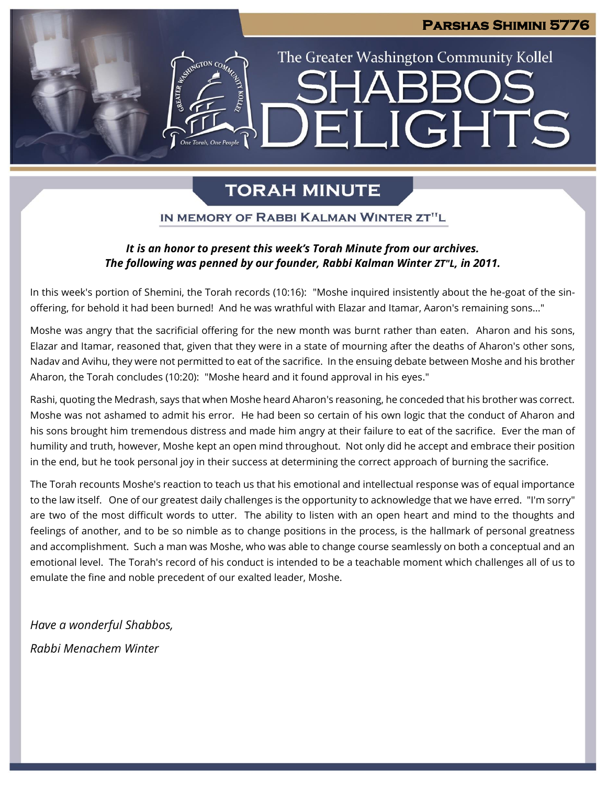### **Parshas Shimini 5776**

# The Greater Washington Community Kollel **JGHTS** FII

# **TORAH MINUTE**

### IN MEMORY OF RABBI KALMAN WINTER ZT"L

## *It is an honor to present this week's Torah Minute from our archives. The following was penned by our founder, Rabbi Kalman Winter ZT"L, in 2011.*

In this week's portion of Shemini, the Torah records (10:16): "Moshe inquired insistently about the he-goat of the sinoffering, for behold it had been burned! And he was wrathful with Elazar and Itamar, Aaron's remaining sons..."

Moshe was angry that the sacrificial offering for the new month was burnt rather than eaten. Aharon and his sons, Elazar and Itamar, reasoned that, given that they were in a state of mourning after the deaths of Aharon's other sons, Nadav and Avihu, they were not permitted to eat of the sacrifice. In the ensuing debate between Moshe and his brother Aharon, the Torah concludes (10:20): "Moshe heard and it found approval in his eyes."

Rashi, quoting the Medrash, says that when Moshe heard Aharon's reasoning, he conceded that his brother was correct. Moshe was not ashamed to admit his error. He had been so certain of his own logic that the conduct of Aharon and his sons brought him tremendous distress and made him angry at their failure to eat of the sacrifice. Ever the man of humility and truth, however, Moshe kept an open mind throughout. Not only did he accept and embrace their position in the end, but he took personal joy in their success at determining the correct approach of burning the sacrifice.

The Torah recounts Moshe's reaction to teach us that his emotional and intellectual response was of equal importance to the law itself. One of our greatest daily challenges is the opportunity to acknowledge that we have erred. "I'm sorry" are two of the most difficult words to utter. The ability to listen with an open heart and mind to the thoughts and feelings of another, and to be so nimble as to change positions in the process, is the hallmark of personal greatness and accomplishment. Such a man was Moshe, who was able to change course seamlessly on both a conceptual and an emotional level. The Torah's record of his conduct is intended to be a teachable moment which challenges all of us to emulate the fine and noble precedent of our exalted leader, Moshe.

*Have a wonderful Shabbos, Rabbi Menachem Winter*